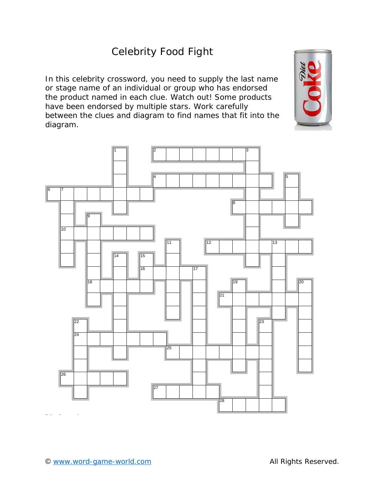## Celebrity Food Fight

In this celebrity crossword, you need to supply the last name or stage name of an individual or group who has endorsed the product named in each clue. Watch out! Some products have been endorsed by multiple stars. Work carefully between the clues and diagram to find names that fit into the diagram.



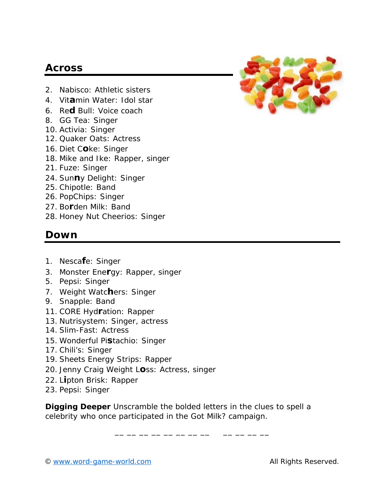## **Across**

- 2. Nabisco: Athletic sisters
- 4. Vit**a**min Water: Idol star
- 6. Re**d** Bull: Voice coach
- 8. GG Tea: Singer
- 10. Activia: Singer
- 12. Quaker Oats: Actress
- 16. Diet C**o**ke: Singer
- 18. Mike and Ike: Rapper, singer
- 21. Fuze: Singer
- 24. Sun**n**y Delight: Singer
- 25. Chipotle: Band
- 26. PopChips: Singer
- 27. Bo**r**den Milk: Band
- 28. Honey Nut Cheerios: Singer

## **Down**

- 1. Nesca**f**e: Singer
- 3. Monster Ene**r**gy: Rapper, singer
- 5. Pepsi: Singer
- 7. Weight Watc**h**ers: Singer
- 9. Snapple: Band
- 11. CORE Hyd**r**ation: Rapper
- 13. Nutrisystem: Singer, actress
- 14. Slim-Fast: Actress
- 15. Wonderful Pi**s**tachio: Singer
- 17. Chili's: Singer
- 19. Sheets Energy Strips: Rapper
- 20. Jenny Craig Weight L**o**ss: Actress, singer
- 22. L**i**pton Brisk: Rapper
- 23. Pepsi: Singer

**Digging Deeper** Unscramble the bolded letters in the clues to spell a celebrity who once participated in the Got Milk? campaign.

\_\_ \_\_ \_\_ \_\_ \_\_ \_\_ \_\_ \_\_ \_\_ \_\_ \_\_



<sup>©</sup> www.word-game-world.com All Rights Reserved.